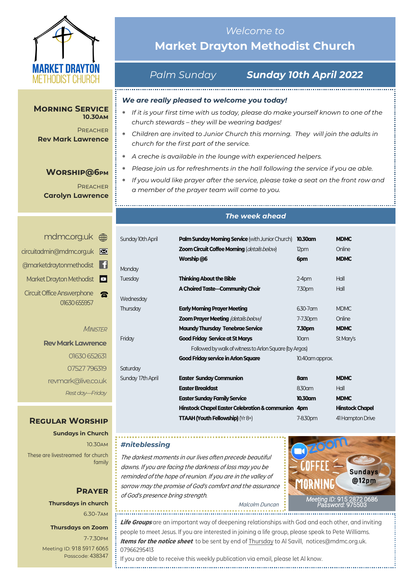

#### **Morning Service 10.30am**

**PREACHER Rev Mark Lawrence**

## **Worship@6pm**

**PREACHER Carolyn Lawrence**

# <mdmc.org.uk> [circuitadmin@mdmc.org.uk](mailto:circuitadmin@mdmc.org.uk) [@marketdraytonmethodist](https://www.facebook.com/MarketDraytonMethodist) Market Drayton Methodist Circuit Office Answerphone  $\blacksquare$

#### **MINISTER**

**Rev Mark Lawrence** 01630 652631 07527 796319 revmark@live.co.uk *Rest day—Friday*

01630 655957

# **Regular Worship**

**Sundays in Church** 10.30am These are livestreamed for church family

# **Prayer Thursdays in church** 6.30-7am

#### **Thursdays on Zoom**

7-7.30pm [Meeting ID:](https://us04web.zoom.us/j/77138650306?fbclid=IwAR1B778-w3GWZgDnAqUFq-X6hXjzASNTsZuRIt4kZ4Cpyur_3CO2EGlBBwY#success) 918 5917 6065 Passcode: 438347

# *Welcome to*  **Market Drayton Methodist Church**

# *Palm Sunday Sunday 10th April 2022*

### *We are really pleased to welcome you today!*

- *If it is your first time with us today, please do make yourself known to one of the church stewards – they will be wearing badges!*
- *Children are invited to Junior Church this morning. They will join the adults in church for the first part of the service.*
- *A creche is available in the lounge with experienced helpers.*
- *Please join us for refreshments in the hall following the service if you ae able.*
- *If you would like prayer after the service, please take a seat on the front row and a member of the prayer team will come to you.*

#### *The week ahead*

| Sunday 10th April | <b>Palm Sunday Morning Service</b> (with Junior Church) | 10.30am          | <b>MDMC</b>            |  |
|-------------------|---------------------------------------------------------|------------------|------------------------|--|
|                   | Zoom Circuit Coffee Morning (details below)             | 12pm             | Online                 |  |
|                   | Worship @6                                              | 6pm              | <b>MDMC</b>            |  |
| Monday            |                                                         |                  |                        |  |
| <b>Tuesday</b>    | <b>Thinking About the Bible</b>                         | $2-4pm$          | Hall                   |  |
|                   | A Choired Taste-Community Choir                         | 7.30pm           | Hall                   |  |
| Wednesday         |                                                         |                  |                        |  |
| Thursday          | <b>Early Morning Prayer Meeting</b>                     | 6.30-7 am        | <b>MDMC</b>            |  |
|                   | <b>Zoom Prayer Meeting (details below)</b>              | 7-7.30pm         | Online                 |  |
|                   | <b>Maundy Thursday Tenebrae Service</b>                 | 7.30pm           | <b>MDMC</b>            |  |
| Friday            | <b>Good Friday Service at St Marys</b>                  | 10am             | St Mary's              |  |
|                   | Followed by walk of witness to Arlon Square (by Argos)  |                  |                        |  |
|                   | <b>Good Friday service in Arlon Square</b>              | 10.40 am approx. |                        |  |
| Saturday          |                                                         |                  |                        |  |
| Sunday 17th April | <b>Easter Sunday Communion</b>                          | 8am              | <b>MDMC</b>            |  |
|                   | <b>Easter Breakfast</b>                                 | 8.30am           | Hall                   |  |
|                   | <b>Easter Sunday Family Service</b>                     | 10.30am          | <b>MDMC</b>            |  |
|                   | Hinstock Chapel Easter Celebration & communion 4pm      |                  | <b>Hinstock Chapel</b> |  |
|                   | <b>TTAAH (Youth Fellowship)</b> ( $Yr8+$ )              | 7-8.30pm         | 41 Hampton Drive       |  |

#### *#niteblessing*

The darkest moments in our lives often precede beautiful dawns. If you are facing the darkness of loss may you be reminded of the hope of reunion. If you are in the valley of sorrow may the promise of God's comfort and the assurance of God's presence bring strength.

*[Meeting](https://us02web.zoom.us/j/83410523806?pwd=SmZBQmI3K3lXM1IybzNDZnhMUU5PUT09) ID:* [915 2872 0686](https://us02web.zoom.us/j/83410523806?pwd=SmZBQmI3K3lXM1IybzNDZnhMUU5PUT09)  *[Password:](https://us02web.zoom.us/j/83410523806?pwd=SmZBQmI3K3lXM1IybzNDZnhMUU5PUT09)* 975503

Malcolm Duncan

**Life Groups** are an important way of deepening relationships with God and each other, and inviting people to meet Jesus. If you are interested in joining a life group, please speak to Pete Williams. **Items for the notice sheet** to be sent by end of Thursday to Al Savill, notices@mdmc.org.uk. 07966295413

If you are able to receive this weekly publication via email, please let Al know.